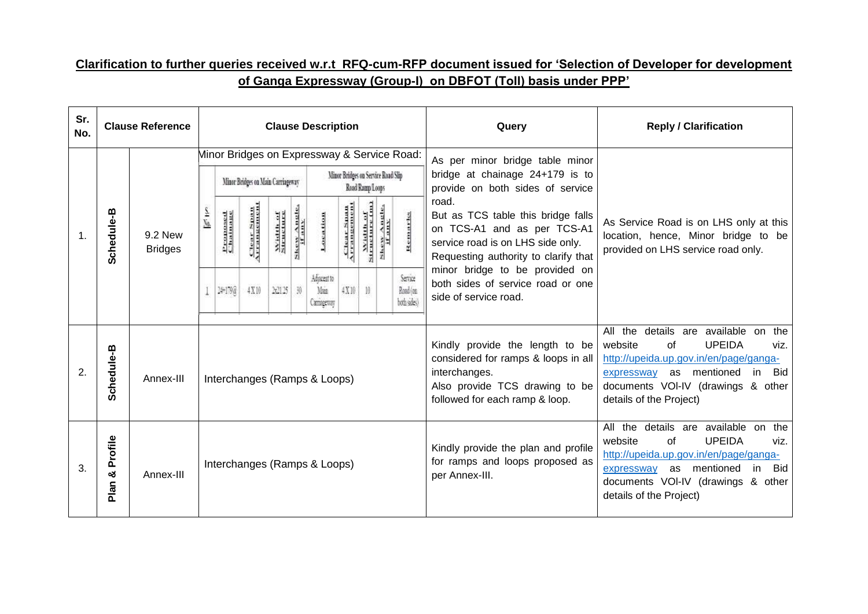## **Clarification to further queries received w.r.t RFQ-cum-RFP document issued for 'Selection of Developer for development of Ganga Expressway (Group-I) on DBFOT (Toll) basis under PPP'**

| Sr.<br>No. |                       | <b>Clause Reference</b>   |         |                      |                                   |                |                       | <b>Clause Description</b>                   |                                    |                          |                       |                                 | Query                                                                                                                                                       | <b>Reply / Clarification</b>                                                                                                                                                                                                                   |
|------------|-----------------------|---------------------------|---------|----------------------|-----------------------------------|----------------|-----------------------|---------------------------------------------|------------------------------------|--------------------------|-----------------------|---------------------------------|-------------------------------------------------------------------------------------------------------------------------------------------------------------|------------------------------------------------------------------------------------------------------------------------------------------------------------------------------------------------------------------------------------------------|
|            |                       |                           |         |                      | Minor Bridges on Main Carriageway |                |                       | Minor Bridges on Expressway & Service Road: | Minor Bridges on Service Road Slip | Read Ramp Loops          |                       |                                 | As per minor bridge table minor<br>bridge at chainage 24+179 is to<br>provide on both sides of service                                                      |                                                                                                                                                                                                                                                |
| 1.         | Schedule-B            | 9.2 New<br><b>Bridges</b> | s<br>Sa | Proposed<br>Chainage | <b>Clear Span</b>                 | <b>Widther</b> | Skew Angle.<br>If any | Location                                    | Clear Span<br>Arrangemen           | Width of<br>Structure (m | Skew Angle.<br>If any | Remarks                         | road.<br>But as TCS table this bridge falls<br>on TCS-A1 and as per TCS-A1<br>service road is on LHS side only.<br>Requesting authority to clarify that     | As Service Road is on LHS only at this<br>location, hence, Minor bridge to be<br>provided on LHS service road only.                                                                                                                            |
|            |                       |                           |         | 冲顶                   | 4X10                              | 3/13           | 30                    | Adjacent to<br>Man<br>Camagenay             | $4\,\mathrm{X}\,10$                | 10                       |                       | Serice<br>Road (on<br>bohsides) | minor bridge to be provided on<br>both sides of service road or one<br>side of service road.                                                                |                                                                                                                                                                                                                                                |
| 2.         | Schedule-B            | Annex-III                 |         |                      |                                   |                |                       | Interchanges (Ramps & Loops)                |                                    |                          |                       |                                 | Kindly provide the length to be<br>considered for ramps & loops in all<br>interchanges.<br>Also provide TCS drawing to be<br>followed for each ramp & loop. | details are available on the<br>All the<br><b>UPEIDA</b><br>website<br>0f<br>viz.<br>http://upeida.up.gov.in/en/page/ganga-<br>as mentioned<br><b>Bid</b><br>in<br>expressway<br>documents VOI-IV (drawings & other<br>details of the Project) |
| 3.         | Profile<br>න්<br>Plan | Annex-III                 |         |                      |                                   |                |                       | Interchanges (Ramps & Loops)                |                                    |                          |                       |                                 | Kindly provide the plan and profile<br>for ramps and loops proposed as<br>per Annex-III.                                                                    | All the details are available on the<br><b>UPEIDA</b><br>website<br>$\Omega$<br>viz.<br>http://upeida.up.gov.in/en/page/ganga-<br>Bid<br>as mentioned<br>in<br>expressway<br>documents VOI-IV (drawings & other<br>details of the Project)     |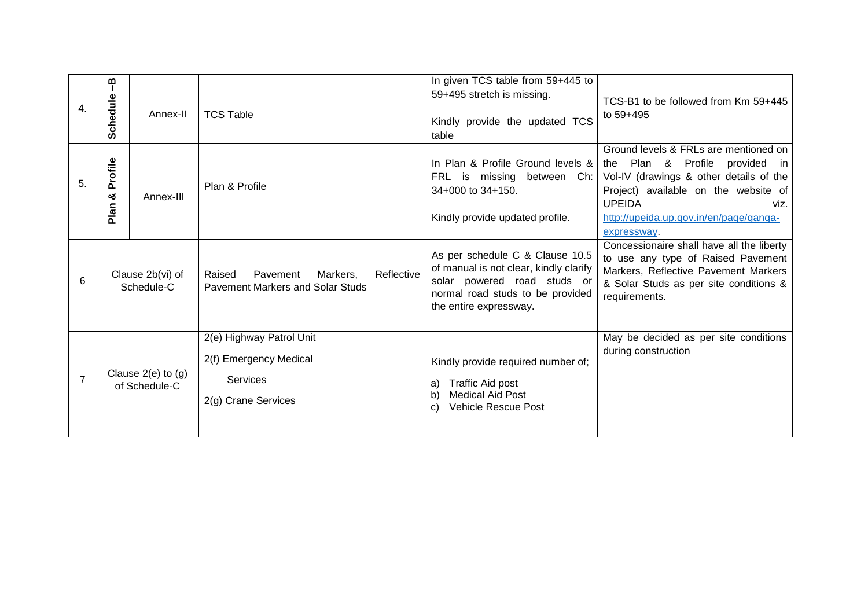| 4.             | ၛ<br>Schedule        | Annex-II                                | <b>TCS Table</b>                                                                             | In given TCS table from 59+445 to<br>59+495 stretch is missing.<br>Kindly provide the updated TCS<br>table                                                             | TCS-B1 to be followed from Km 59+445<br>to 59+495                                                                                                                                                                                                   |
|----------------|----------------------|-----------------------------------------|----------------------------------------------------------------------------------------------|------------------------------------------------------------------------------------------------------------------------------------------------------------------------|-----------------------------------------------------------------------------------------------------------------------------------------------------------------------------------------------------------------------------------------------------|
| 5.             | Profile<br>య<br>Plan | Annex-III                               | Plan & Profile                                                                               | In Plan & Profile Ground levels &<br>FRL is missing between Ch:<br>34+000 to 34+150.<br>Kindly provide updated profile.                                                | Ground levels & FRLs are mentioned on<br>Plan & Profile provided<br>the<br>in.<br>Vol-IV (drawings & other details of the<br>Project) available on the website of<br><b>UPEIDA</b><br>viz.<br>http://upeida.up.gov.in/en/page/ganga-<br>expressway. |
| 6              |                      | Clause 2b(vi) of<br>Schedule-C          | Pavement<br>Reflective<br>Markers,<br>Raised<br><b>Pavement Markers and Solar Studs</b>      | As per schedule C & Clause 10.5<br>of manual is not clear, kindly clarify<br>solar powered road studs or<br>normal road studs to be provided<br>the entire expressway. | Concessionaire shall have all the liberty<br>to use any type of Raised Pavement<br>Markers, Reflective Pavement Markers<br>& Solar Studs as per site conditions &<br>requirements.                                                                  |
| $\overline{7}$ |                      | Clause $2(e)$ to $(g)$<br>of Schedule-C | 2(e) Highway Patrol Unit<br>2(f) Emergency Medical<br><b>Services</b><br>2(g) Crane Services | Kindly provide required number of;<br>Traffic Aid post<br>a)<br><b>Medical Aid Post</b><br>b)<br><b>Vehicle Rescue Post</b><br>C)                                      | May be decided as per site conditions<br>during construction                                                                                                                                                                                        |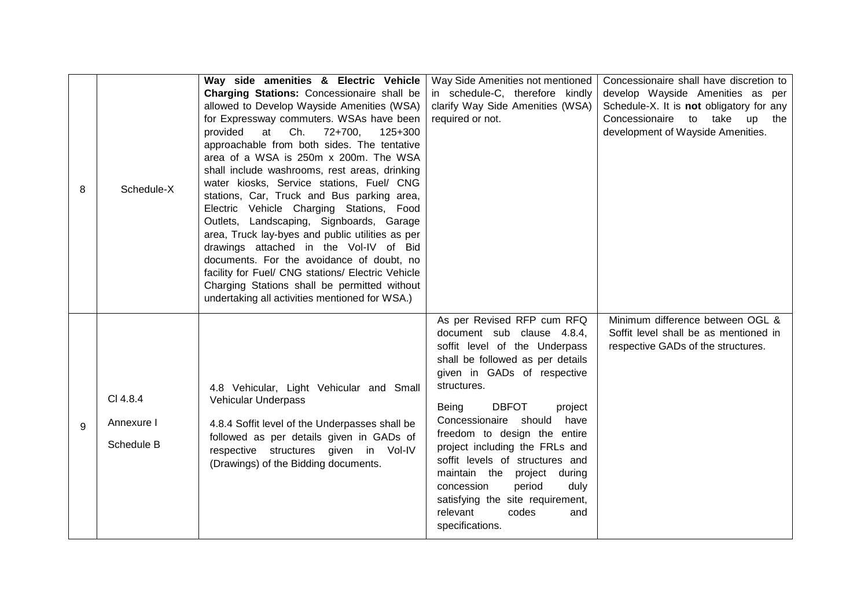| 8 | Schedule-X                           | Way side amenities & Electric Vehicle<br>Charging Stations: Concessionaire shall be<br>allowed to Develop Wayside Amenities (WSA)<br>for Expressway commuters. WSAs have been<br>Ch.<br>72+700,<br>provided<br>at<br>125+300<br>approachable from both sides. The tentative<br>area of a WSA is 250m x 200m. The WSA<br>shall include washrooms, rest areas, drinking<br>water kiosks, Service stations, Fuel/ CNG<br>stations, Car, Truck and Bus parking area,<br>Electric Vehicle Charging Stations, Food<br>Outlets, Landscaping, Signboards, Garage<br>area, Truck lay-byes and public utilities as per<br>drawings attached in the Vol-IV of Bid | Way Side Amenities not mentioned<br>in schedule-C, therefore kindly<br>clarify Way Side Amenities (WSA)<br>required or not.                                                                                                                                                                                                                                                                                                                                                                             | Concessionaire shall have discretion to<br>develop Wayside Amenities as per<br>Schedule-X. It is <b>not</b> obligatory for any<br>Concessionaire to take up the<br>development of Wayside Amenities. |
|---|--------------------------------------|--------------------------------------------------------------------------------------------------------------------------------------------------------------------------------------------------------------------------------------------------------------------------------------------------------------------------------------------------------------------------------------------------------------------------------------------------------------------------------------------------------------------------------------------------------------------------------------------------------------------------------------------------------|---------------------------------------------------------------------------------------------------------------------------------------------------------------------------------------------------------------------------------------------------------------------------------------------------------------------------------------------------------------------------------------------------------------------------------------------------------------------------------------------------------|------------------------------------------------------------------------------------------------------------------------------------------------------------------------------------------------------|
| 9 | CI 4.8.4<br>Annexure I<br>Schedule B | documents. For the avoidance of doubt, no<br>facility for Fuel/ CNG stations/ Electric Vehicle<br>Charging Stations shall be permitted without<br>undertaking all activities mentioned for WSA.)<br>4.8 Vehicular, Light Vehicular and Small<br>Vehicular Underpass<br>4.8.4 Soffit level of the Underpasses shall be<br>followed as per details given in GADs of<br>respective structures given in Vol-IV<br>(Drawings) of the Bidding documents.                                                                                                                                                                                                     | As per Revised RFP cum RFQ<br>document sub clause 4.8.4,<br>soffit level of the Underpass<br>shall be followed as per details<br>given in GADs of respective<br>structures.<br><b>DBFOT</b><br>Being<br>project<br>Concessionaire should<br>have<br>freedom to design the entire<br>project including the FRLs and<br>soffit levels of structures and<br>maintain the project during<br>period<br>duly<br>concession<br>satisfying the site requirement,<br>relevant<br>codes<br>and<br>specifications. | Minimum difference between OGL &<br>Soffit level shall be as mentioned in<br>respective GADs of the structures.                                                                                      |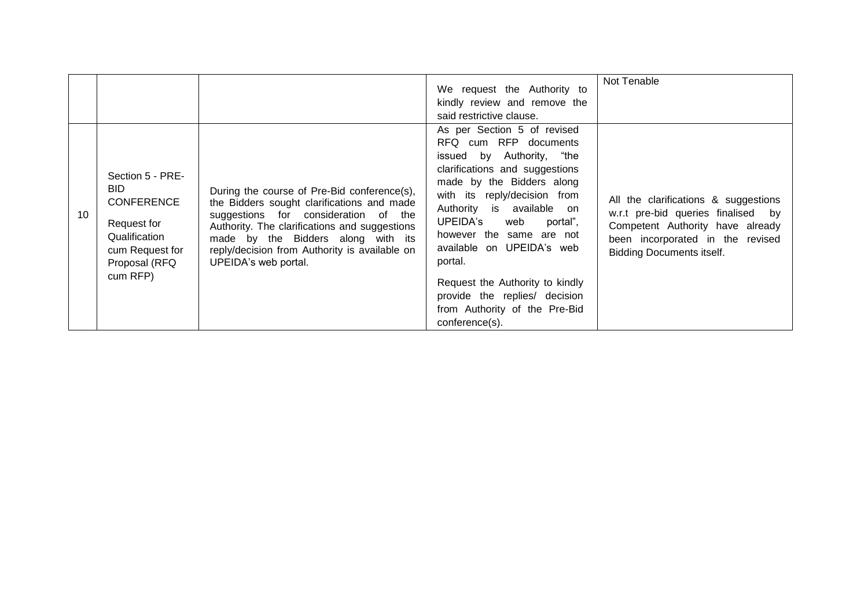|                 |                                                                                                                               |                                                                                                                                                                                                                                                                                                   | We request the Authority to<br>kindly review and remove the<br>said restrictive clause.                                                                                                                                                                                                                                                                                                                                              | Not Tenable                                                                                                                                                                               |
|-----------------|-------------------------------------------------------------------------------------------------------------------------------|---------------------------------------------------------------------------------------------------------------------------------------------------------------------------------------------------------------------------------------------------------------------------------------------------|--------------------------------------------------------------------------------------------------------------------------------------------------------------------------------------------------------------------------------------------------------------------------------------------------------------------------------------------------------------------------------------------------------------------------------------|-------------------------------------------------------------------------------------------------------------------------------------------------------------------------------------------|
| 10 <sup>°</sup> | Section 5 - PRE-<br>BID.<br><b>CONFERENCE</b><br>Request for<br>Qualification<br>cum Request for<br>Proposal (RFQ<br>cum RFP) | During the course of Pre-Bid conference(s),<br>the Bidders sought clarifications and made<br>suggestions for consideration of the<br>Authority. The clarifications and suggestions<br>made by the Bidders along with its<br>reply/decision from Authority is available on<br>UPEIDA's web portal. | As per Section 5 of revised<br>RFQ cum RFP documents<br>issued by Authority, "the<br>clarifications and suggestions<br>made by the Bidders along<br>with its reply/decision from<br>Authority is available on<br>UPEIDA's web<br>portal",<br>however the same are not<br>available on UPEIDA's web<br>portal.<br>Request the Authority to kindly<br>provide the replies/ decision<br>from Authority of the Pre-Bid<br>conference(s). | All the clarifications & suggestions<br>w.r.t pre-bid queries finalised<br>by<br>Competent Authority have already<br>been incorporated in the revised<br><b>Bidding Documents itself.</b> |